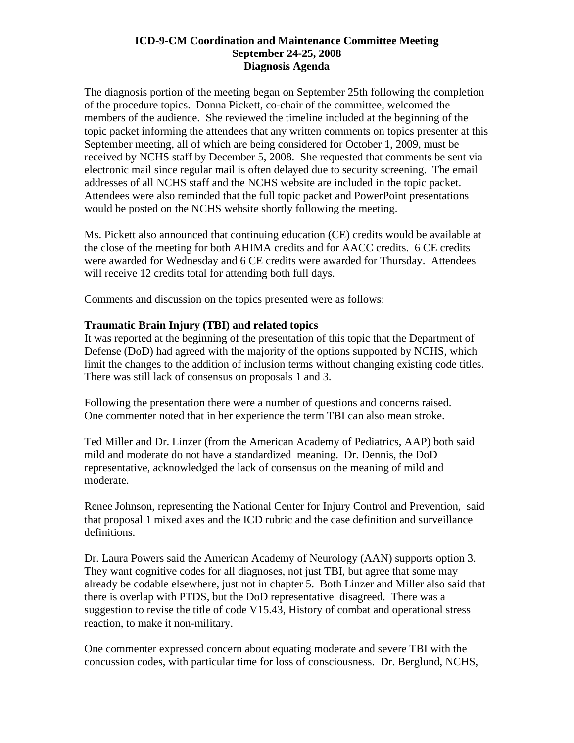The diagnosis portion of the meeting began on September 25th following the completion of the procedure topics. Donna Pickett, co-chair of the committee, welcomed the members of the audience. She reviewed the timeline included at the beginning of the topic packet informing the attendees that any written comments on topics presenter at this September meeting, all of which are being considered for October 1, 2009, must be received by NCHS staff by December 5, 2008. She requested that comments be sent via electronic mail since regular mail is often delayed due to security screening. The email addresses of all NCHS staff and the NCHS website are included in the topic packet. Attendees were also reminded that the full topic packet and PowerPoint presentations would be posted on the NCHS website shortly following the meeting.

Ms. Pickett also announced that continuing education (CE) credits would be available at the close of the meeting for both AHIMA credits and for AACC credits. 6 CE credits were awarded for Wednesday and 6 CE credits were awarded for Thursday. Attendees will receive 12 credits total for attending both full days.

Comments and discussion on the topics presented were as follows:

## **Traumatic Brain Injury (TBI) and related topics**

It was reported at the beginning of the presentation of this topic that the Department of Defense (DoD) had agreed with the majority of the options supported by NCHS, which limit the changes to the addition of inclusion terms without changing existing code titles. There was still lack of consensus on proposals 1 and 3.

Following the presentation there were a number of questions and concerns raised. One commenter noted that in her experience the term TBI can also mean stroke.

Ted Miller and Dr. Linzer (from the American Academy of Pediatrics, AAP) both said mild and moderate do not have a standardized meaning. Dr. Dennis, the DoD representative, acknowledged the lack of consensus on the meaning of mild and moderate.

Renee Johnson, representing the National Center for Injury Control and Prevention, said that proposal 1 mixed axes and the ICD rubric and the case definition and surveillance definitions.

Dr. Laura Powers said the American Academy of Neurology (AAN) supports option 3. They want cognitive codes for all diagnoses, not just TBI, but agree that some may already be codable elsewhere, just not in chapter 5. Both Linzer and Miller also said that there is overlap with PTDS, but the DoD representative disagreed. There was a suggestion to revise the title of code V15.43, History of combat and operational stress reaction, to make it non-military.

One commenter expressed concern about equating moderate and severe TBI with the concussion codes, with particular time for loss of consciousness. Dr. Berglund, NCHS,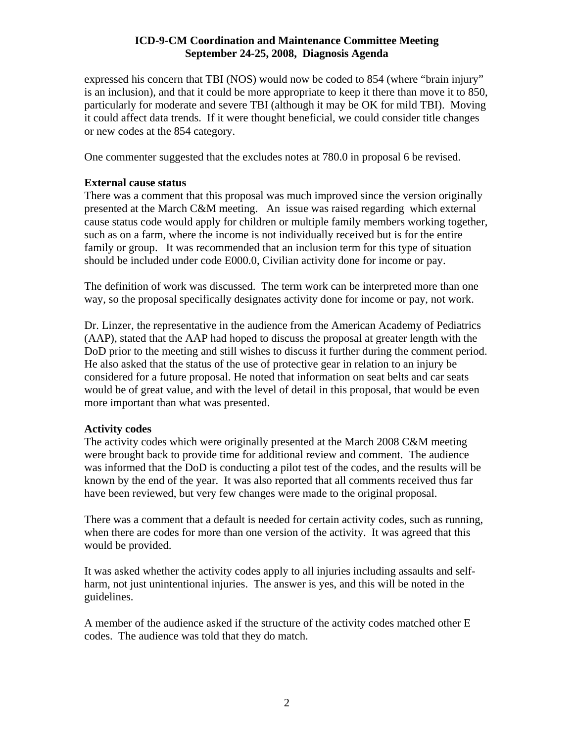expressed his concern that TBI (NOS) would now be coded to 854 (where "brain injury" is an inclusion), and that it could be more appropriate to keep it there than move it to 850, particularly for moderate and severe TBI (although it may be OK for mild TBI). Moving it could affect data trends. If it were thought beneficial, we could consider title changes or new codes at the 854 category.

One commenter suggested that the excludes notes at 780.0 in proposal 6 be revised.

# **External cause status**

There was a comment that this proposal was much improved since the version originally presented at the March C&M meeting. An issue was raised regarding which external cause status code would apply for children or multiple family members working together, such as on a farm, where the income is not individually received but is for the entire family or group. It was recommended that an inclusion term for this type of situation should be included under code E000.0, Civilian activity done for income or pay.

The definition of work was discussed. The term work can be interpreted more than one way, so the proposal specifically designates activity done for income or pay, not work.

Dr. Linzer, the representative in the audience from the American Academy of Pediatrics (AAP), stated that the AAP had hoped to discuss the proposal at greater length with the DoD prior to the meeting and still wishes to discuss it further during the comment period. He also asked that the status of the use of protective gear in relation to an injury be considered for a future proposal. He noted that information on seat belts and car seats would be of great value, and with the level of detail in this proposal, that would be even more important than what was presented.

# **Activity codes**

The activity codes which were originally presented at the March 2008 C&M meeting were brought back to provide time for additional review and comment. The audience was informed that the DoD is conducting a pilot test of the codes, and the results will be known by the end of the year. It was also reported that all comments received thus far have been reviewed, but very few changes were made to the original proposal.

There was a comment that a default is needed for certain activity codes, such as running, when there are codes for more than one version of the activity. It was agreed that this would be provided.

It was asked whether the activity codes apply to all injuries including assaults and selfharm, not just unintentional injuries. The answer is yes, and this will be noted in the guidelines.

A member of the audience asked if the structure of the activity codes matched other E codes. The audience was told that they do match.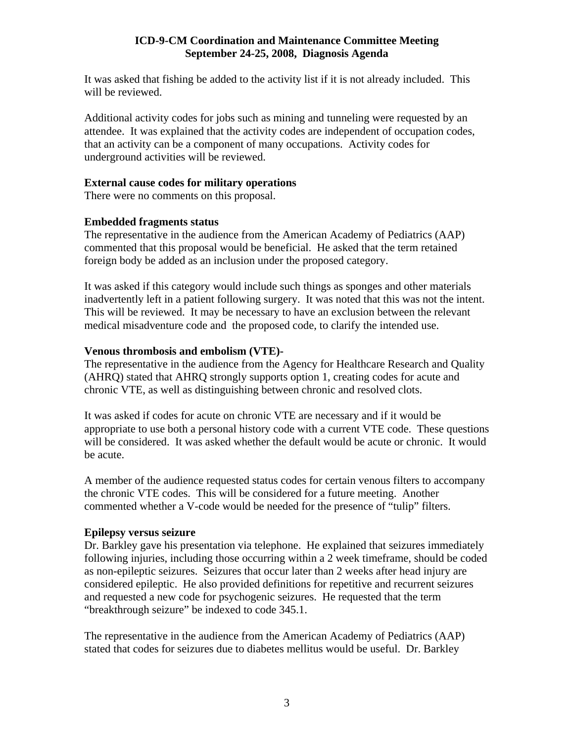It was asked that fishing be added to the activity list if it is not already included. This will be reviewed.

Additional activity codes for jobs such as mining and tunneling were requested by an attendee. It was explained that the activity codes are independent of occupation codes, that an activity can be a component of many occupations. Activity codes for underground activities will be reviewed.

### **External cause codes for military operations**

There were no comments on this proposal.

## **Embedded fragments status**

The representative in the audience from the American Academy of Pediatrics (AAP) commented that this proposal would be beneficial. He asked that the term retained foreign body be added as an inclusion under the proposed category.

It was asked if this category would include such things as sponges and other materials inadvertently left in a patient following surgery. It was noted that this was not the intent. This will be reviewed. It may be necessary to have an exclusion between the relevant medical misadventure code and the proposed code, to clarify the intended use.

## **Venous thrombosis and embolism (VTE)-**

The representative in the audience from the Agency for Healthcare Research and Quality (AHRQ) stated that AHRQ strongly supports option 1, creating codes for acute and chronic VTE, as well as distinguishing between chronic and resolved clots.

It was asked if codes for acute on chronic VTE are necessary and if it would be appropriate to use both a personal history code with a current VTE code. These questions will be considered. It was asked whether the default would be acute or chronic. It would be acute.

A member of the audience requested status codes for certain venous filters to accompany the chronic VTE codes. This will be considered for a future meeting. Another commented whether a V-code would be needed for the presence of "tulip" filters.

### **Epilepsy versus seizure**

Dr. Barkley gave his presentation via telephone. He explained that seizures immediately following injuries, including those occurring within a 2 week timeframe, should be coded as non-epileptic seizures. Seizures that occur later than 2 weeks after head injury are considered epileptic. He also provided definitions for repetitive and recurrent seizures and requested a new code for psychogenic seizures. He requested that the term "breakthrough seizure" be indexed to code 345.1.

The representative in the audience from the American Academy of Pediatrics (AAP) stated that codes for seizures due to diabetes mellitus would be useful. Dr. Barkley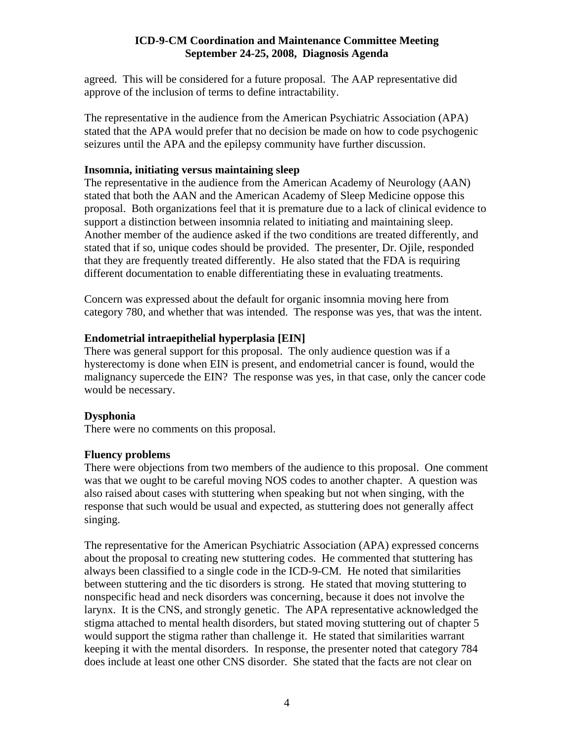agreed. This will be considered for a future proposal. The AAP representative did approve of the inclusion of terms to define intractability.

The representative in the audience from the American Psychiatric Association (APA) stated that the APA would prefer that no decision be made on how to code psychogenic seizures until the APA and the epilepsy community have further discussion.

### **Insomnia, initiating versus maintaining sleep**

The representative in the audience from the American Academy of Neurology (AAN) stated that both the AAN and the American Academy of Sleep Medicine oppose this proposal. Both organizations feel that it is premature due to a lack of clinical evidence to support a distinction between insomnia related to initiating and maintaining sleep. Another member of the audience asked if the two conditions are treated differently, and stated that if so, unique codes should be provided. The presenter, Dr. Ojile, responded that they are frequently treated differently. He also stated that the FDA is requiring different documentation to enable differentiating these in evaluating treatments.

Concern was expressed about the default for organic insomnia moving here from category 780, and whether that was intended. The response was yes, that was the intent.

# **Endometrial intraepithelial hyperplasia [EIN]**

There was general support for this proposal. The only audience question was if a hysterectomy is done when EIN is present, and endometrial cancer is found, would the malignancy supercede the EIN? The response was yes, in that case, only the cancer code would be necessary.

# **Dysphonia**

There were no comments on this proposal.

### **Fluency problems**

There were objections from two members of the audience to this proposal. One comment was that we ought to be careful moving NOS codes to another chapter. A question was also raised about cases with stuttering when speaking but not when singing, with the response that such would be usual and expected, as stuttering does not generally affect singing.

The representative for the American Psychiatric Association (APA) expressed concerns about the proposal to creating new stuttering codes. He commented that stuttering has always been classified to a single code in the ICD-9-CM. He noted that similarities between stuttering and the tic disorders is strong. He stated that moving stuttering to nonspecific head and neck disorders was concerning, because it does not involve the larynx. It is the CNS, and strongly genetic. The APA representative acknowledged the stigma attached to mental health disorders, but stated moving stuttering out of chapter 5 would support the stigma rather than challenge it. He stated that similarities warrant keeping it with the mental disorders. In response, the presenter noted that category 784 does include at least one other CNS disorder. She stated that the facts are not clear on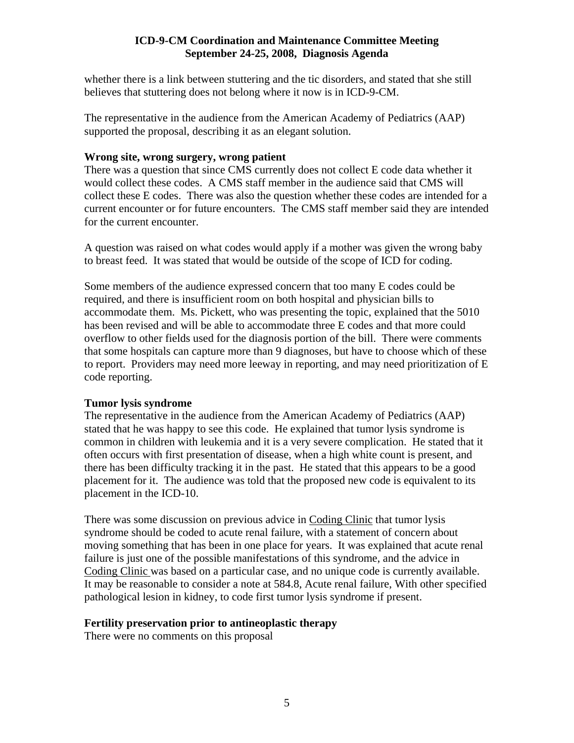whether there is a link between stuttering and the tic disorders, and stated that she still believes that stuttering does not belong where it now is in ICD-9-CM.

The representative in the audience from the American Academy of Pediatrics (AAP) supported the proposal, describing it as an elegant solution.

### **Wrong site, wrong surgery, wrong patient**

There was a question that since CMS currently does not collect E code data whether it would collect these codes. A CMS staff member in the audience said that CMS will collect these E codes. There was also the question whether these codes are intended for a current encounter or for future encounters. The CMS staff member said they are intended for the current encounter.

A question was raised on what codes would apply if a mother was given the wrong baby to breast feed. It was stated that would be outside of the scope of ICD for coding.

Some members of the audience expressed concern that too many E codes could be required, and there is insufficient room on both hospital and physician bills to accommodate them. Ms. Pickett, who was presenting the topic, explained that the 5010 has been revised and will be able to accommodate three E codes and that more could overflow to other fields used for the diagnosis portion of the bill. There were comments that some hospitals can capture more than 9 diagnoses, but have to choose which of these to report. Providers may need more leeway in reporting, and may need prioritization of E code reporting.

### **Tumor lysis syndrome**

The representative in the audience from the American Academy of Pediatrics (AAP) stated that he was happy to see this code. He explained that tumor lysis syndrome is common in children with leukemia and it is a very severe complication. He stated that it often occurs with first presentation of disease, when a high white count is present, and there has been difficulty tracking it in the past. He stated that this appears to be a good placement for it. The audience was told that the proposed new code is equivalent to its placement in the ICD-10.

There was some discussion on previous advice in Coding Clinic that tumor lysis syndrome should be coded to acute renal failure, with a statement of concern about moving something that has been in one place for years. It was explained that acute renal failure is just one of the possible manifestations of this syndrome, and the advice in Coding Clinic was based on a particular case, and no unique code is currently available. It may be reasonable to consider a note at 584.8, Acute renal failure, With other specified pathological lesion in kidney, to code first tumor lysis syndrome if present.

### **Fertility preservation prior to antineoplastic therapy**

There were no comments on this proposal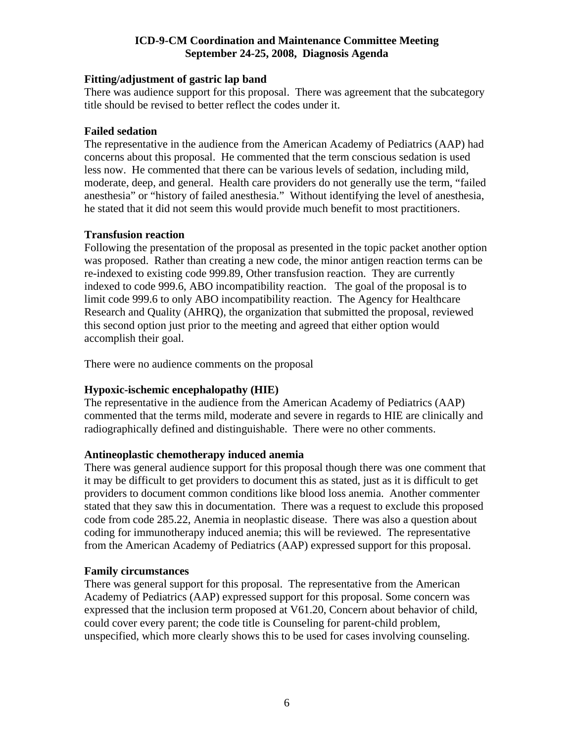## **Fitting/adjustment of gastric lap band**

There was audience support for this proposal. There was agreement that the subcategory title should be revised to better reflect the codes under it.

## **Failed sedation**

The representative in the audience from the American Academy of Pediatrics (AAP) had concerns about this proposal. He commented that the term conscious sedation is used less now. He commented that there can be various levels of sedation, including mild, moderate, deep, and general. Health care providers do not generally use the term, "failed anesthesia" or "history of failed anesthesia." Without identifying the level of anesthesia, he stated that it did not seem this would provide much benefit to most practitioners.

## **Transfusion reaction**

Following the presentation of the proposal as presented in the topic packet another option was proposed. Rather than creating a new code, the minor antigen reaction terms can be re-indexed to existing code 999.89, Other transfusion reaction. They are currently indexed to code 999.6, ABO incompatibility reaction. The goal of the proposal is to limit code 999.6 to only ABO incompatibility reaction. The Agency for Healthcare Research and Quality (AHRQ), the organization that submitted the proposal, reviewed this second option just prior to the meeting and agreed that either option would accomplish their goal.

There were no audience comments on the proposal

# **Hypoxic-ischemic encephalopathy (HIE)**

The representative in the audience from the American Academy of Pediatrics (AAP) commented that the terms mild, moderate and severe in regards to HIE are clinically and radiographically defined and distinguishable. There were no other comments.

### **Antineoplastic chemotherapy induced anemia**

There was general audience support for this proposal though there was one comment that it may be difficult to get providers to document this as stated, just as it is difficult to get providers to document common conditions like blood loss anemia. Another commenter stated that they saw this in documentation. There was a request to exclude this proposed code from code 285.22, Anemia in neoplastic disease. There was also a question about coding for immunotherapy induced anemia; this will be reviewed. The representative from the American Academy of Pediatrics (AAP) expressed support for this proposal.

### **Family circumstances**

There was general support for this proposal. The representative from the American Academy of Pediatrics (AAP) expressed support for this proposal. Some concern was expressed that the inclusion term proposed at V61.20, Concern about behavior of child, could cover every parent; the code title is Counseling for parent-child problem, unspecified, which more clearly shows this to be used for cases involving counseling.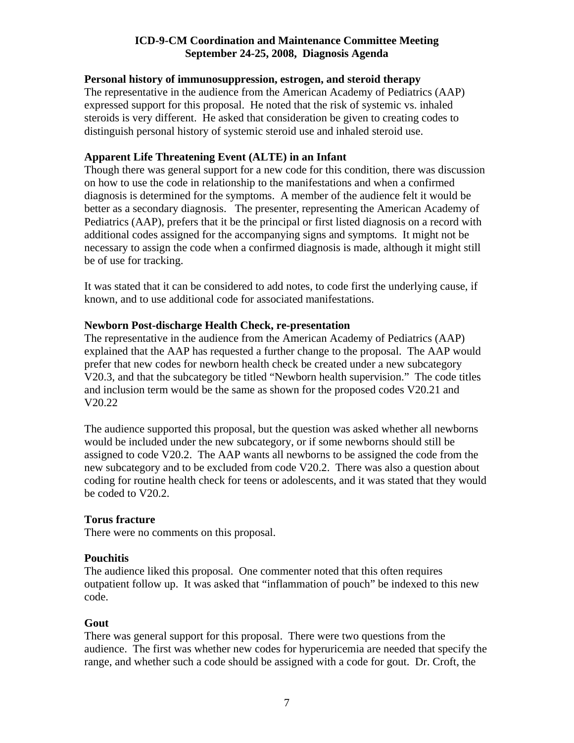### **Personal history of immunosuppression, estrogen, and steroid therapy**

The representative in the audience from the American Academy of Pediatrics (AAP) expressed support for this proposal. He noted that the risk of systemic vs. inhaled steroids is very different. He asked that consideration be given to creating codes to distinguish personal history of systemic steroid use and inhaled steroid use.

# **Apparent Life Threatening Event (ALTE) in an Infant**

Though there was general support for a new code for this condition, there was discussion on how to use the code in relationship to the manifestations and when a confirmed diagnosis is determined for the symptoms. A member of the audience felt it would be better as a secondary diagnosis. The presenter, representing the American Academy of Pediatrics (AAP), prefers that it be the principal or first listed diagnosis on a record with additional codes assigned for the accompanying signs and symptoms. It might not be necessary to assign the code when a confirmed diagnosis is made, although it might still be of use for tracking.

It was stated that it can be considered to add notes, to code first the underlying cause, if known, and to use additional code for associated manifestations.

## **Newborn Post-discharge Health Check, re-presentation**

The representative in the audience from the American Academy of Pediatrics (AAP) explained that the AAP has requested a further change to the proposal. The AAP would prefer that new codes for newborn health check be created under a new subcategory V20.3, and that the subcategory be titled "Newborn health supervision." The code titles and inclusion term would be the same as shown for the proposed codes V20.21 and V20.22

The audience supported this proposal, but the question was asked whether all newborns would be included under the new subcategory, or if some newborns should still be assigned to code V20.2. The AAP wants all newborns to be assigned the code from the new subcategory and to be excluded from code V20.2. There was also a question about coding for routine health check for teens or adolescents, and it was stated that they would be coded to V20.2.

### **Torus fracture**

There were no comments on this proposal.

### **Pouchitis**

The audience liked this proposal. One commenter noted that this often requires outpatient follow up. It was asked that "inflammation of pouch" be indexed to this new code.

### **Gout**

There was general support for this proposal. There were two questions from the audience. The first was whether new codes for hyperuricemia are needed that specify the range, and whether such a code should be assigned with a code for gout. Dr. Croft, the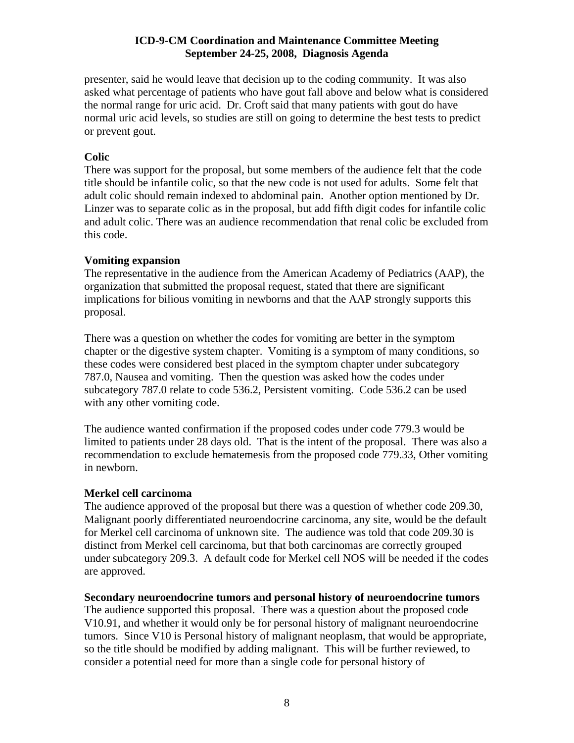presenter, said he would leave that decision up to the coding community. It was also asked what percentage of patients who have gout fall above and below what is considered the normal range for uric acid. Dr. Croft said that many patients with gout do have normal uric acid levels, so studies are still on going to determine the best tests to predict or prevent gout.

# **Colic**

There was support for the proposal, but some members of the audience felt that the code title should be infantile colic, so that the new code is not used for adults. Some felt that adult colic should remain indexed to abdominal pain. Another option mentioned by Dr. Linzer was to separate colic as in the proposal, but add fifth digit codes for infantile colic and adult colic. There was an audience recommendation that renal colic be excluded from this code.

## **Vomiting expansion**

The representative in the audience from the American Academy of Pediatrics (AAP), the organization that submitted the proposal request, stated that there are significant implications for bilious vomiting in newborns and that the AAP strongly supports this proposal.

There was a question on whether the codes for vomiting are better in the symptom chapter or the digestive system chapter. Vomiting is a symptom of many conditions, so these codes were considered best placed in the symptom chapter under subcategory 787.0, Nausea and vomiting. Then the question was asked how the codes under subcategory 787.0 relate to code 536.2, Persistent vomiting. Code 536.2 can be used with any other vomiting code.

The audience wanted confirmation if the proposed codes under code 779.3 would be limited to patients under 28 days old. That is the intent of the proposal. There was also a recommendation to exclude hematemesis from the proposed code 779.33, Other vomiting in newborn.

### **Merkel cell carcinoma**

The audience approved of the proposal but there was a question of whether code 209.30, Malignant poorly differentiated neuroendocrine carcinoma, any site, would be the default for Merkel cell carcinoma of unknown site. The audience was told that code 209.30 is distinct from Merkel cell carcinoma, but that both carcinomas are correctly grouped under subcategory 209.3. A default code for Merkel cell NOS will be needed if the codes are approved.

### **Secondary neuroendocrine tumors and personal history of neuroendocrine tumors**

The audience supported this proposal. There was a question about the proposed code V10.91, and whether it would only be for personal history of malignant neuroendocrine tumors. Since V10 is Personal history of malignant neoplasm, that would be appropriate, so the title should be modified by adding malignant. This will be further reviewed, to consider a potential need for more than a single code for personal history of